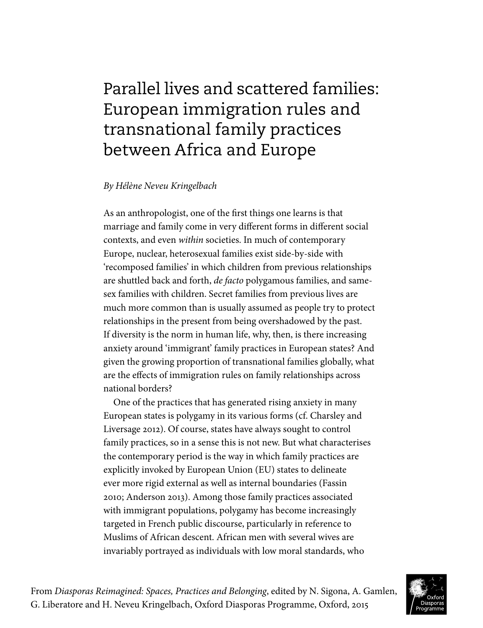# Parallel lives and scattered families: European immigration rules and transnational family practices between Africa and Europe

### *By Hélène Neveu Kringelbach*

As an anthropologist, one of the first things one learns is that marriage and family come in very different forms in different social contexts, and even *within* societies. In much of contemporary Europe, nuclear, heterosexual families exist side-by-side with 'recomposed families' in which children from previous relationships are shuttled back and forth, *de facto* polygamous families, and samesex families with children. Secret families from previous lives are much more common than is usually assumed as people try to protect relationships in the present from being overshadowed by the past. If diversity is the norm in human life, why, then, is there increasing anxiety around 'immigrant' family practices in European states? And given the growing proportion of transnational families globally, what are the effects of immigration rules on family relationships across national borders?

One of the practices that has generated rising anxiety in many European states is polygamy in its various forms (cf. Charsley and Liversage 2012). Of course, states have always sought to control family practices, so in a sense this is not new. But what characterises the contemporary period is the way in which family practices are explicitly invoked by European Union (EU) states to delineate ever more rigid external as well as internal boundaries (Fassin 2010; Anderson 2013). Among those family practices associated with immigrant populations, polygamy has become increasingly targeted in French public discourse, particularly in reference to Muslims of African descent. African men with several wives are invariably portrayed as individuals with low moral standards, who

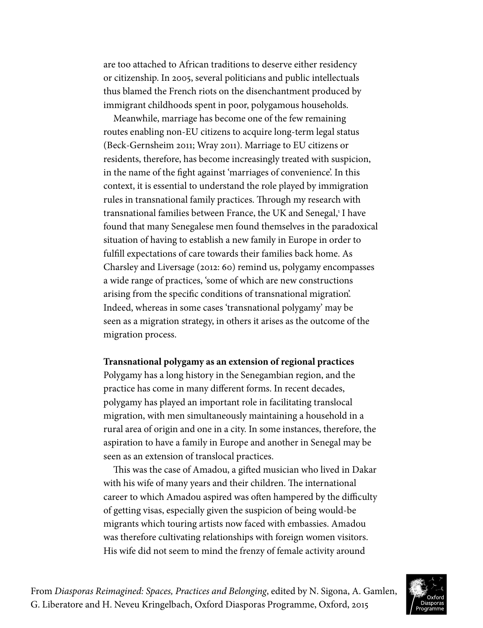are too attached to African traditions to deserve either residency or citizenship. In 2005, several politicians and public intellectuals thus blamed the French riots on the disenchantment produced by immigrant childhoods spent in poor, polygamous households.

Meanwhile, marriage has become one of the few remaining routes enabling non-EU citizens to acquire long-term legal status (Beck-Gernsheim 2011; Wray 2011). Marriage to EU citizens or residents, therefore, has become increasingly treated with suspicion, in the name of the fight against 'marriages of convenience'. In this context, it is essential to understand the role played by immigration rules in transnational family practices. Through my research with transnational families between France, the UK and Senegal,<sup>1</sup> I have found that many Senegalese men found themselves in the paradoxical situation of having to establish a new family in Europe in order to fulfill expectations of care towards their families back home. As Charsley and Liversage (2012: 60) remind us, polygamy encompasses a wide range of practices, 'some of which are new constructions arising from the specific conditions of transnational migration'. Indeed, whereas in some cases 'transnational polygamy' may be seen as a migration strategy, in others it arises as the outcome of the migration process.

#### **Transnational polygamy as an extension of regional practices**

Polygamy has a long history in the Senegambian region, and the practice has come in many different forms. In recent decades, polygamy has played an important role in facilitating translocal migration, with men simultaneously maintaining a household in a rural area of origin and one in a city. In some instances, therefore, the aspiration to have a family in Europe and another in Senegal may be seen as an extension of translocal practices.

This was the case of Amadou, a gifted musician who lived in Dakar with his wife of many years and their children. The international career to which Amadou aspired was often hampered by the difficulty of getting visas, especially given the suspicion of being would-be migrants which touring artists now faced with embassies. Amadou was therefore cultivating relationships with foreign women visitors. His wife did not seem to mind the frenzy of female activity around

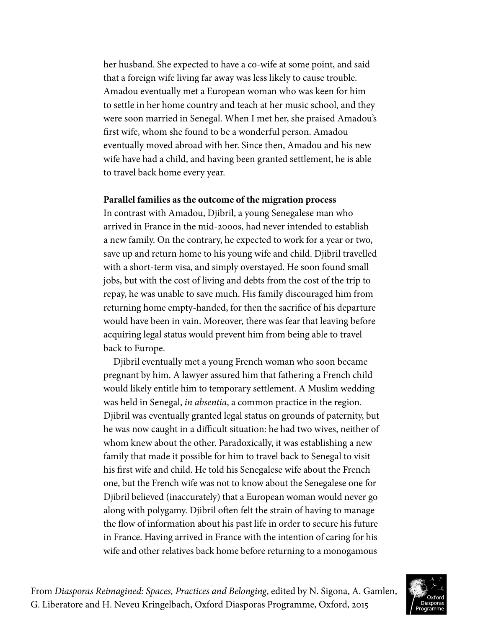her husband. She expected to have a co-wife at some point, and said that a foreign wife living far away was less likely to cause trouble. Amadou eventually met a European woman who was keen for him to settle in her home country and teach at her music school, and they were soon married in Senegal. When I met her, she praised Amadou's first wife, whom she found to be a wonderful person. Amadou eventually moved abroad with her. Since then, Amadou and his new wife have had a child, and having been granted settlement, he is able to travel back home every year.

#### **Parallel families as the outcome of the migration process**

In contrast with Amadou, Djibril, a young Senegalese man who arrived in France in the mid-2000s, had never intended to establish a new family. On the contrary, he expected to work for a year or two, save up and return home to his young wife and child. Djibril travelled with a short-term visa, and simply overstayed. He soon found small jobs, but with the cost of living and debts from the cost of the trip to repay, he was unable to save much. His family discouraged him from returning home empty-handed, for then the sacrifice of his departure would have been in vain. Moreover, there was fear that leaving before acquiring legal status would prevent him from being able to travel back to Europe.

Djibril eventually met a young French woman who soon became pregnant by him. A lawyer assured him that fathering a French child would likely entitle him to temporary settlement. A Muslim wedding was held in Senegal, *in absentia*, a common practice in the region. Djibril was eventually granted legal status on grounds of paternity, but he was now caught in a difficult situation: he had two wives, neither of whom knew about the other. Paradoxically, it was establishing a new family that made it possible for him to travel back to Senegal to visit his first wife and child. He told his Senegalese wife about the French one, but the French wife was not to know about the Senegalese one for Djibril believed (inaccurately) that a European woman would never go along with polygamy. Djibril often felt the strain of having to manage the flow of information about his past life in order to secure his future in France. Having arrived in France with the intention of caring for his wife and other relatives back home before returning to a monogamous

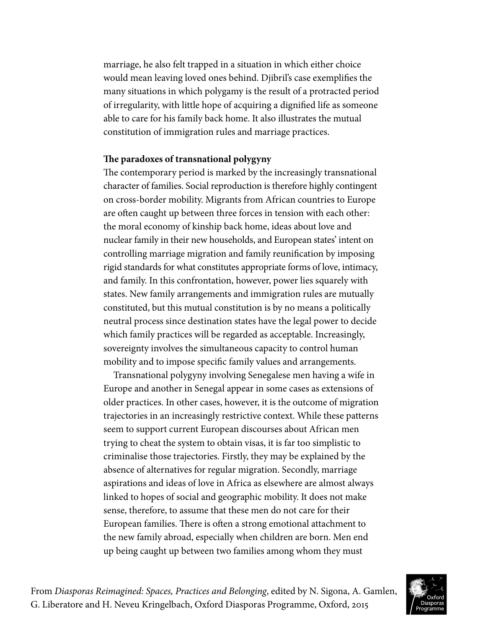marriage, he also felt trapped in a situation in which either choice would mean leaving loved ones behind. Djibril's case exemplifies the many situations in which polygamy is the result of a protracted period of irregularity, with little hope of acquiring a dignified life as someone able to care for his family back home. It also illustrates the mutual constitution of immigration rules and marriage practices.

#### **The paradoxes of transnational polygyny**

The contemporary period is marked by the increasingly transnational character of families. Social reproduction is therefore highly contingent on cross-border mobility. Migrants from African countries to Europe are often caught up between three forces in tension with each other: the moral economy of kinship back home, ideas about love and nuclear family in their new households, and European states' intent on controlling marriage migration and family reunification by imposing rigid standards for what constitutes appropriate forms of love, intimacy, and family. In this confrontation, however, power lies squarely with states. New family arrangements and immigration rules are mutually constituted, but this mutual constitution is by no means a politically neutral process since destination states have the legal power to decide which family practices will be regarded as acceptable. Increasingly, sovereignty involves the simultaneous capacity to control human mobility and to impose specific family values and arrangements.

Transnational polygyny involving Senegalese men having a wife in Europe and another in Senegal appear in some cases as extensions of older practices. In other cases, however, it is the outcome of migration trajectories in an increasingly restrictive context. While these patterns seem to support current European discourses about African men trying to cheat the system to obtain visas, it is far too simplistic to criminalise those trajectories. Firstly, they may be explained by the absence of alternatives for regular migration. Secondly, marriage aspirations and ideas of love in Africa as elsewhere are almost always linked to hopes of social and geographic mobility. It does not make sense, therefore, to assume that these men do not care for their European families. There is often a strong emotional attachment to the new family abroad, especially when children are born. Men end up being caught up between two families among whom they must

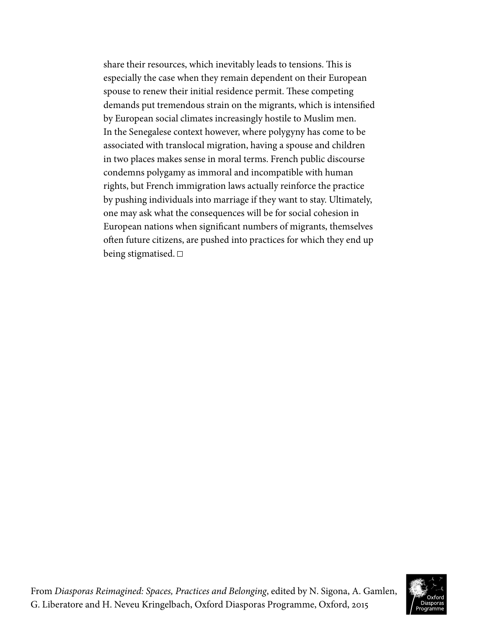share their resources, which inevitably leads to tensions. This is especially the case when they remain dependent on their European spouse to renew their initial residence permit. These competing demands put tremendous strain on the migrants, which is intensified by European social climates increasingly hostile to Muslim men. In the Senegalese context however, where polygyny has come to be associated with translocal migration, having a spouse and children in two places makes sense in moral terms. French public discourse condemns polygamy as immoral and incompatible with human rights, but French immigration laws actually reinforce the practice by pushing individuals into marriage if they want to stay. Ultimately, one may ask what the consequences will be for social cohesion in European nations when significant numbers of migrants, themselves often future citizens, are pushed into practices for which they end up being stigmatised.  $\square$ 

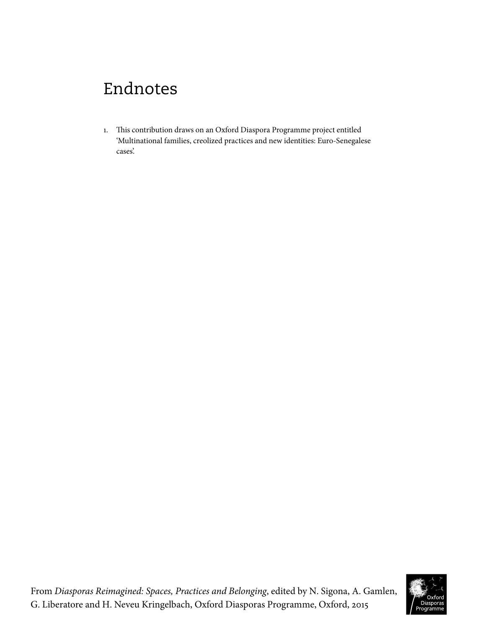# Endnotes

1. This contribution draws on an Oxford Diaspora Programme project entitled 'Multinational families, creolized practices and new identities: Euro-Senegalese cases'.